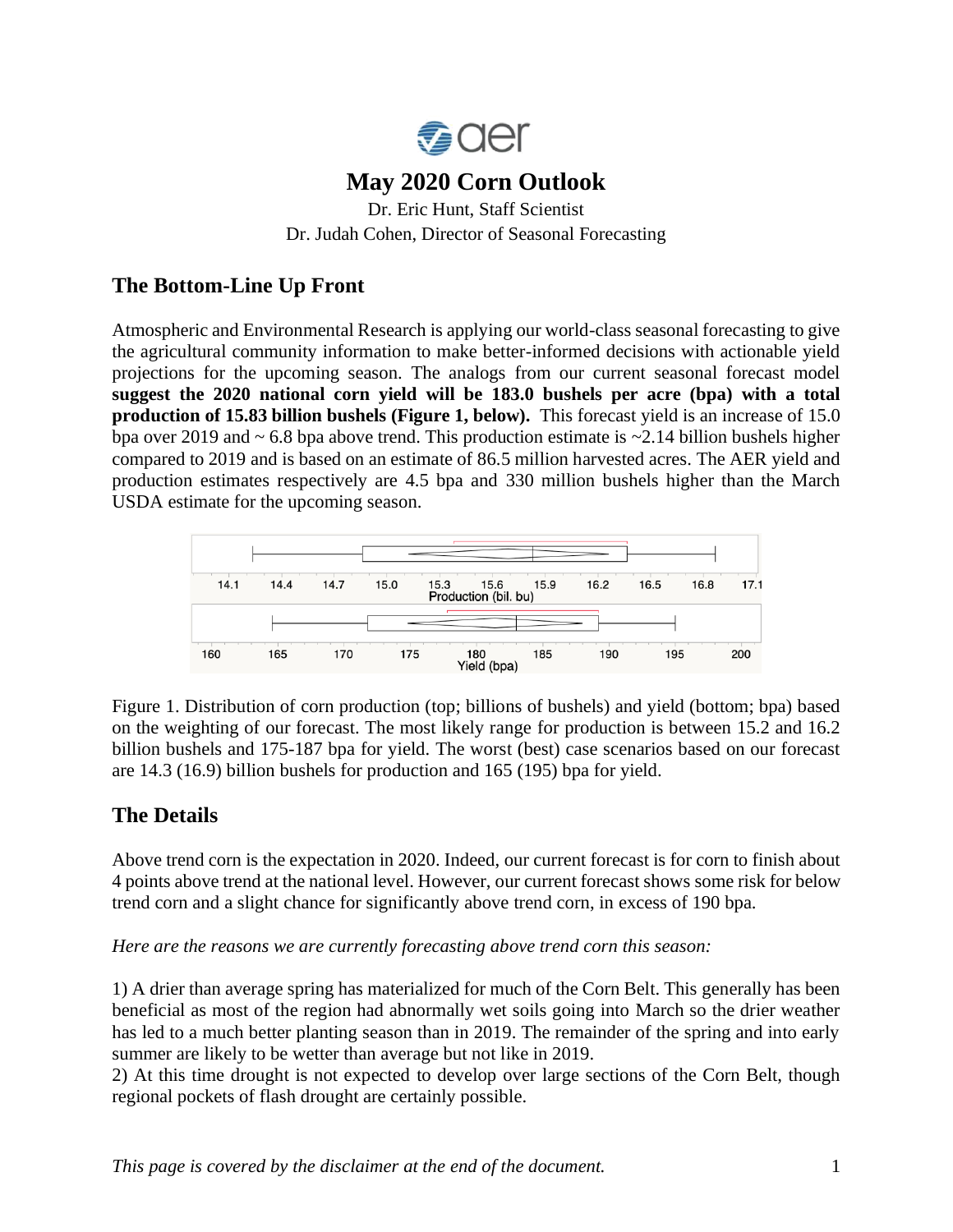

# **May 2020 Corn Outlook**

Dr. Eric Hunt, Staff Scientist Dr. Judah Cohen, Director of Seasonal Forecasting

# **The Bottom-Line Up Front**

Atmospheric and Environmental Research is applying our world-class seasonal forecasting to give the agricultural community information to make better-informed decisions with actionable yield projections for the upcoming season. The analogs from our current seasonal forecast model **suggest the 2020 national corn yield will be 183.0 bushels per acre (bpa) with a total production of 15.83 billion bushels (Figure 1, below).** This forecast yield is an increase of 15.0 bpa over 2019 and  $\sim 6.8$  bpa above trend. This production estimate is  $\sim 2.14$  billion bushels higher compared to 2019 and is based on an estimate of 86.5 million harvested acres. The AER yield and production estimates respectively are 4.5 bpa and 330 million bushels higher than the March USDA estimate for the upcoming season.



Figure 1. Distribution of corn production (top; billions of bushels) and yield (bottom; bpa) based on the weighting of our forecast. The most likely range for production is between 15.2 and 16.2 billion bushels and 175-187 bpa for yield. The worst (best) case scenarios based on our forecast are 14.3 (16.9) billion bushels for production and 165 (195) bpa for yield.

## **The Details**

Above trend corn is the expectation in 2020. Indeed, our current forecast is for corn to finish about 4 points above trend at the national level. However, our current forecast shows some risk for below trend corn and a slight chance for significantly above trend corn, in excess of 190 bpa.

*Here are the reasons we are currently forecasting above trend corn this season:*

1) A drier than average spring has materialized for much of the Corn Belt. This generally has been beneficial as most of the region had abnormally wet soils going into March so the drier weather has led to a much better planting season than in 2019. The remainder of the spring and into early summer are likely to be wetter than average but not like in 2019.

2) At this time drought is not expected to develop over large sections of the Corn Belt, though regional pockets of flash drought are certainly possible.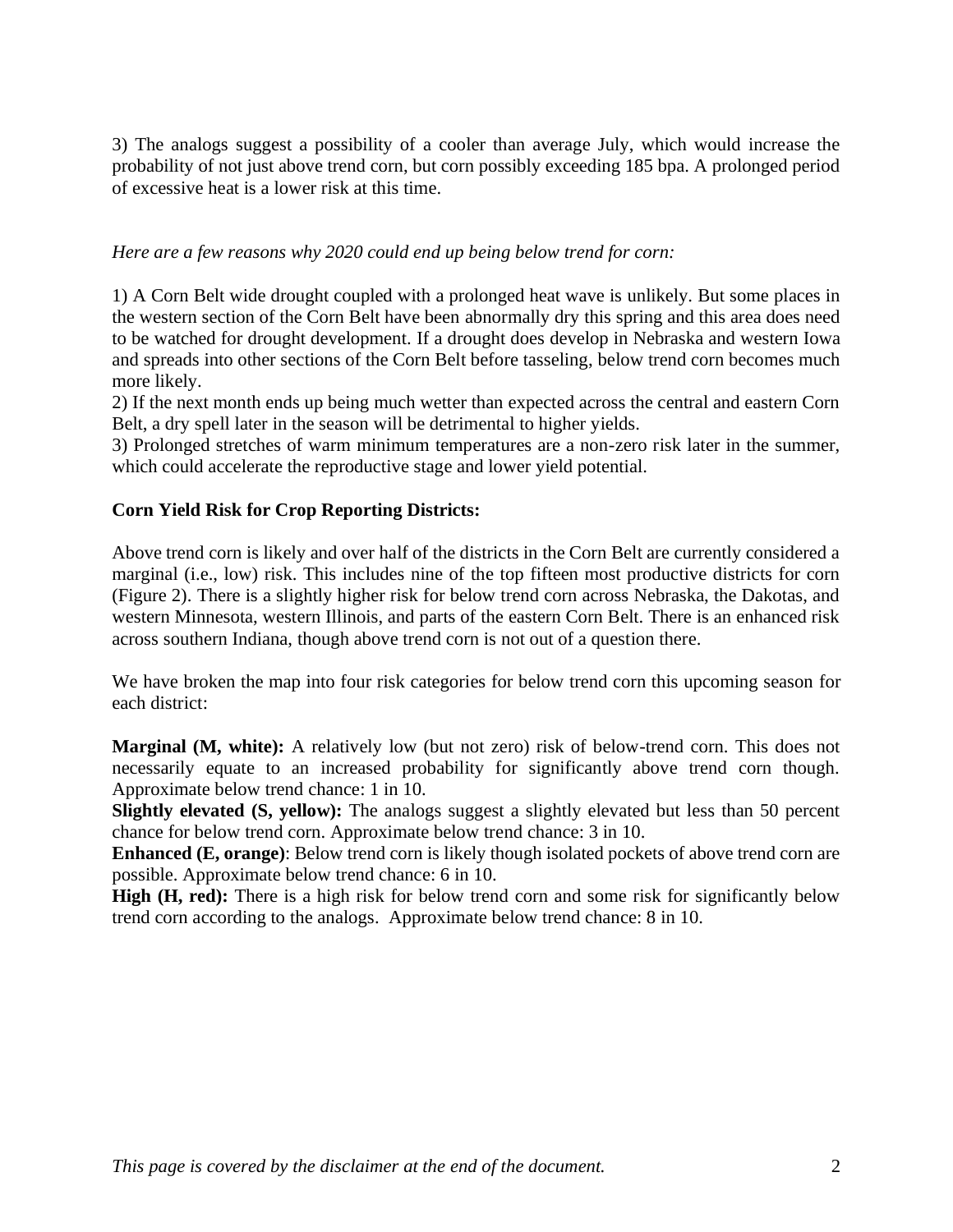3) The analogs suggest a possibility of a cooler than average July, which would increase the probability of not just above trend corn, but corn possibly exceeding 185 bpa. A prolonged period of excessive heat is a lower risk at this time.

#### *Here are a few reasons why 2020 could end up being below trend for corn:*

1) A Corn Belt wide drought coupled with a prolonged heat wave is unlikely. But some places in the western section of the Corn Belt have been abnormally dry this spring and this area does need to be watched for drought development. If a drought does develop in Nebraska and western Iowa and spreads into other sections of the Corn Belt before tasseling, below trend corn becomes much more likely.

2) If the next month ends up being much wetter than expected across the central and eastern Corn Belt, a dry spell later in the season will be detrimental to higher yields.

3) Prolonged stretches of warm minimum temperatures are a non-zero risk later in the summer, which could accelerate the reproductive stage and lower yield potential.

#### **Corn Yield Risk for Crop Reporting Districts:**

Above trend corn is likely and over half of the districts in the Corn Belt are currently considered a marginal (i.e., low) risk. This includes nine of the top fifteen most productive districts for corn (Figure 2). There is a slightly higher risk for below trend corn across Nebraska, the Dakotas, and western Minnesota, western Illinois, and parts of the eastern Corn Belt. There is an enhanced risk across southern Indiana, though above trend corn is not out of a question there.

We have broken the map into four risk categories for below trend corn this upcoming season for each district:

**Marginal (M, white):** A relatively low (but not zero) risk of below-trend corn. This does not necessarily equate to an increased probability for significantly above trend corn though. Approximate below trend chance: 1 in 10.

**Slightly elevated (S, yellow):** The analogs suggest a slightly elevated but less than 50 percent chance for below trend corn. Approximate below trend chance: 3 in 10.

**Enhanced (E, orange)**: Below trend corn is likely though isolated pockets of above trend corn are possible. Approximate below trend chance: 6 in 10.

**High (H, red):** There is a high risk for below trend corn and some risk for significantly below trend corn according to the analogs. Approximate below trend chance: 8 in 10.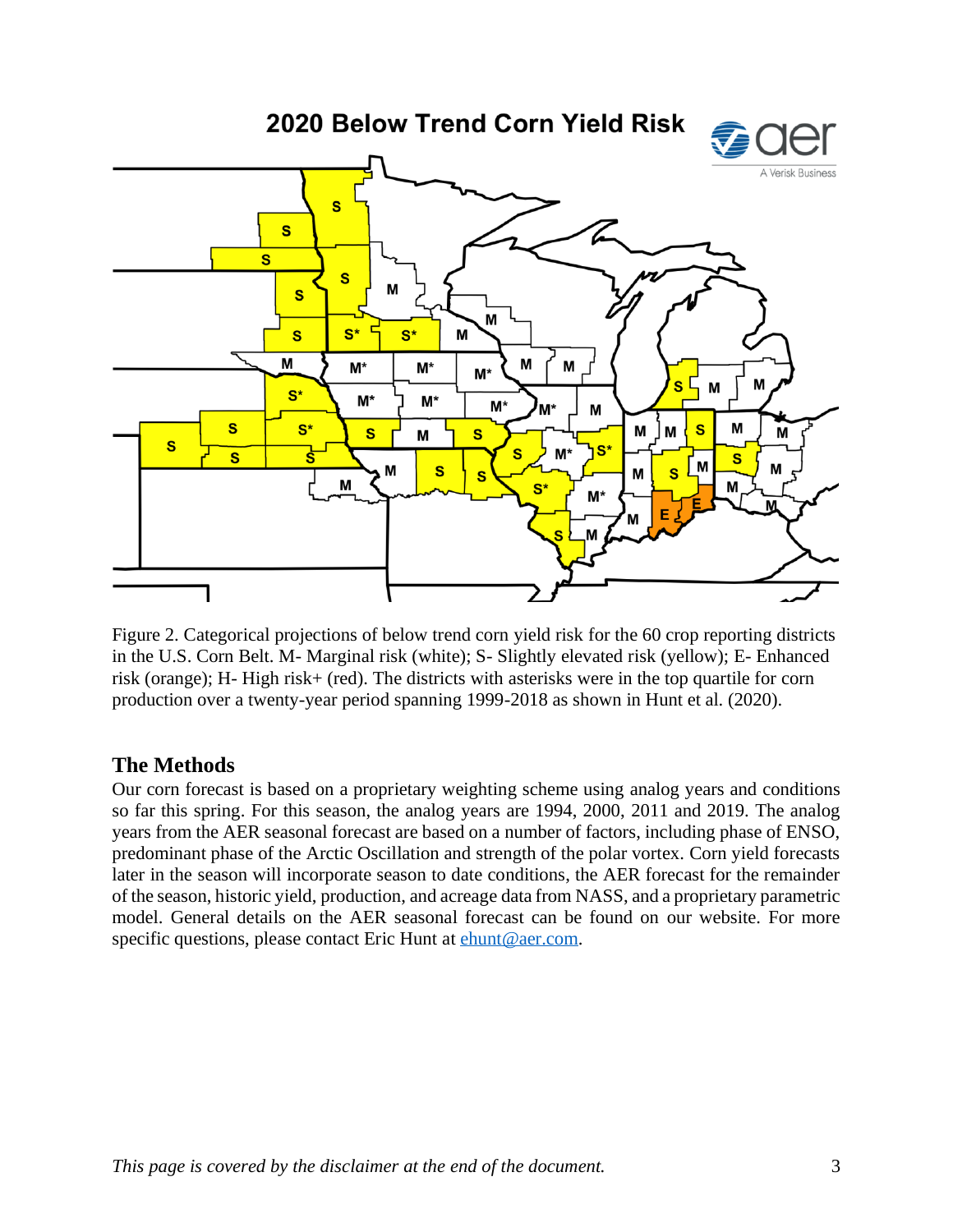

Figure 2. Categorical projections of below trend corn yield risk for the 60 crop reporting districts in the U.S. Corn Belt. M- Marginal risk (white); S- Slightly elevated risk (yellow); E- Enhanced risk (orange); H- High risk+ (red). The districts with asterisks were in the top quartile for corn production over a twenty-year period spanning 1999-2018 as shown in Hunt et al. (2020).

### **The Methods**

Our corn forecast is based on a proprietary weighting scheme using analog years and conditions so far this spring. For this season, the analog years are 1994, 2000, 2011 and 2019. The analog years from the AER seasonal forecast are based on a number of factors, including phase of ENSO, predominant phase of the Arctic Oscillation and strength of the polar vortex. Corn yield forecasts later in the season will incorporate season to date conditions, the AER forecast for the remainder of the season, historic yield, production, and acreage data from NASS, and a proprietary parametric model. General details on the AER seasonal forecast can be found on our website. For more specific questions, please contact Eric Hunt at [ehunt@aer.com.](mailto:ehunt@aer.com)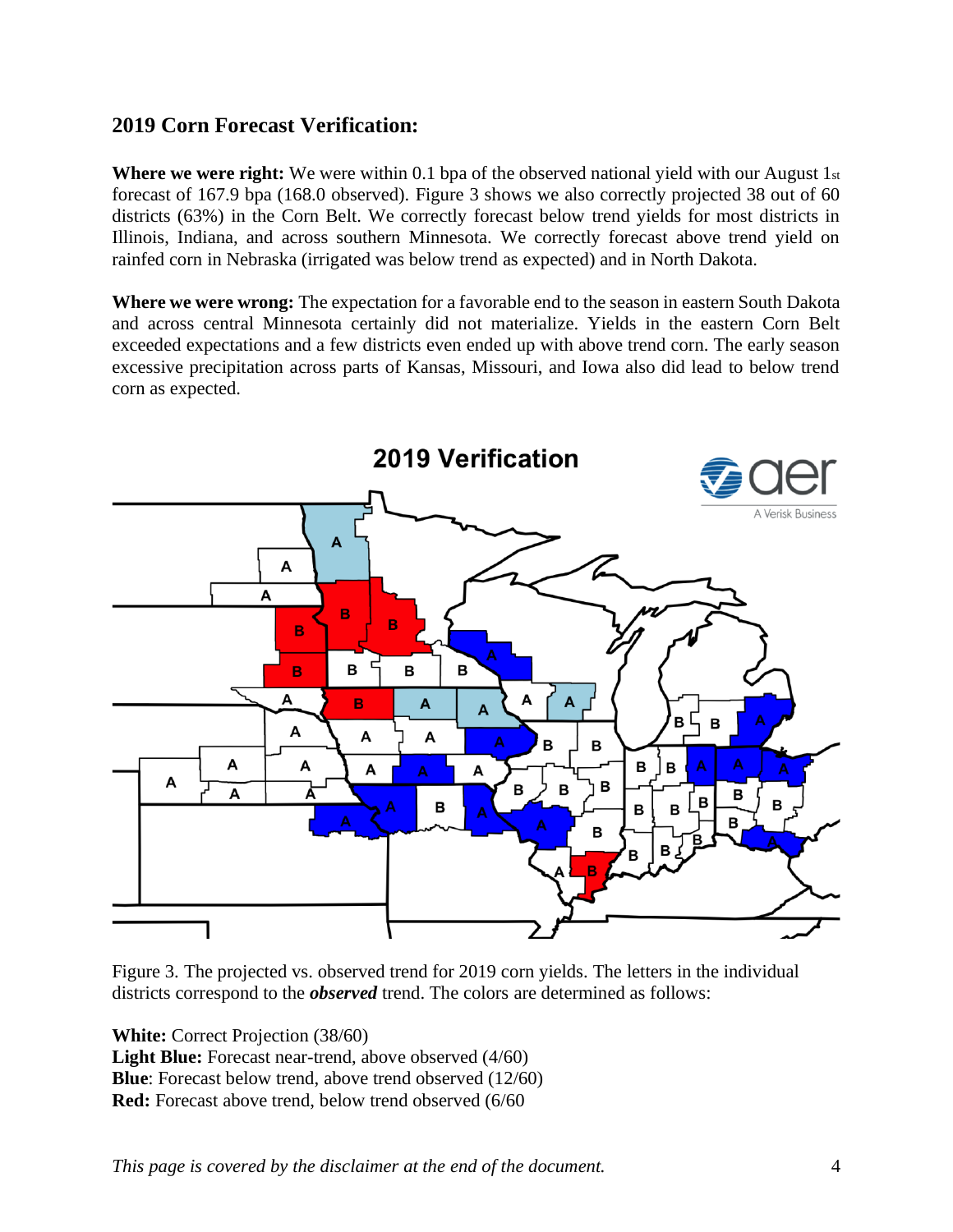### **2019 Corn Forecast Verification:**

**Where we were right:** We were within 0.1 bpa of the observed national yield with our August 1st forecast of 167.9 bpa (168.0 observed). Figure 3 shows we also correctly projected 38 out of 60 districts (63%) in the Corn Belt. We correctly forecast below trend yields for most districts in Illinois, Indiana, and across southern Minnesota. We correctly forecast above trend yield on rainfed corn in Nebraska (irrigated was below trend as expected) and in North Dakota.

**Where we were wrong:** The expectation for a favorable end to the season in eastern South Dakota and across central Minnesota certainly did not materialize. Yields in the eastern Corn Belt exceeded expectations and a few districts even ended up with above trend corn. The early season excessive precipitation across parts of Kansas, Missouri, and Iowa also did lead to below trend corn as expected.



Figure 3. The projected vs. observed trend for 2019 corn yields. The letters in the individual districts correspond to the *observed* trend. The colors are determined as follows:

**White:** Correct Projection (38/60) **Light Blue:** Forecast near-trend, above observed (4/60) **Blue**: Forecast below trend, above trend observed (12/60) **Red:** Forecast above trend, below trend observed (6/60